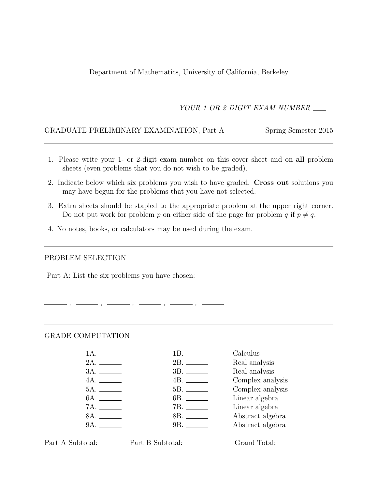Department of Mathematics, University of California, Berkeley

YOUR 1 OR 2 DIGIT EXAM NUMBER

### GRADUATE PRELIMINARY EXAMINATION, Part A Spring Semester 2015

- 1. Please write your 1- or 2-digit exam number on this cover sheet and on all problem sheets (even problems that you do not wish to be graded).
- 2. Indicate below which six problems you wish to have graded. Cross out solutions you may have begun for the problems that you have not selected.
- 3. Extra sheets should be stapled to the appropriate problem at the upper right corner. Do not put work for problem p on either side of the page for problem q if  $p \neq q$ .
- 4. No notes, books, or calculators may be used during the exam.

 $-$  ,  $-$  ,  $-$ 

### PROBLEM SELECTION

Part A: List the six problems you have chosen:

#### GRADE COMPUTATION

|              |                     | Calculus         |
|--------------|---------------------|------------------|
|              |                     | Real analysis    |
|              |                     | Real analysis    |
| 4A.          |                     | Complex analysis |
|              |                     | Complex analysis |
| 6A. ________ |                     | Linear algebra   |
|              |                     | Linear algebra   |
| 8A.          |                     | Abstract algebra |
| 9A.          | 9B. <b>Exercise</b> | Abstract algebra |
|              |                     |                  |

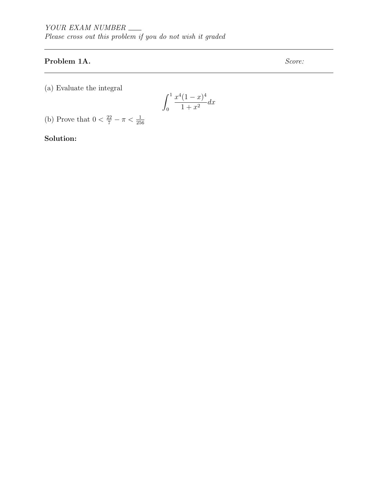# Problem 1A. Score:

(a) Evaluate the integral

$$
\int_0^1 \frac{x^4(1-x)^4}{1+x^2} dx
$$

(b) Prove that  $0 < \frac{22}{7} - \pi < \frac{1}{256}$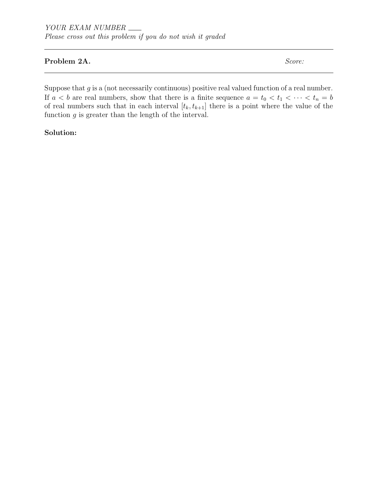### Problem 2A. Score:

Suppose that  $g$  is a (not necessarily continuous) positive real valued function of a real number. If  $a < b$  are real numbers, show that there is a finite sequence  $a = t_0 < t_1 < \cdots < t_n = b$ of real numbers such that in each interval  $[t_k, t_{k+1}]$  there is a point where the value of the function  $g$  is greater than the length of the interval.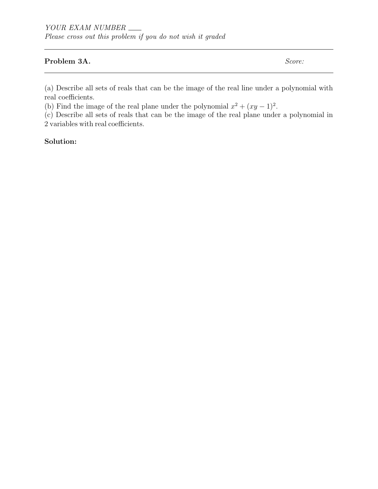### Problem 3A. Score:

(a) Describe all sets of reals that can be the image of the real line under a polynomial with real coefficients.

(b) Find the image of the real plane under the polynomial  $x^2 + (xy - 1)^2$ .

(c) Describe all sets of reals that can be the image of the real plane under a polynomial in 2 variables with real coefficients.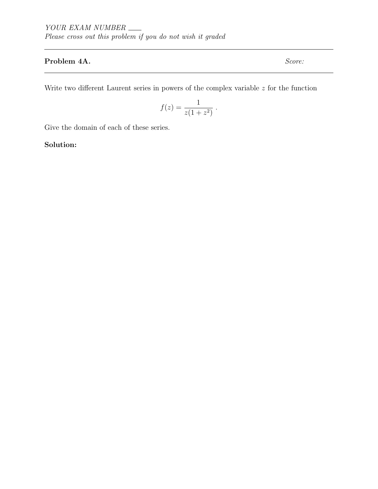# Problem 4A. Score:

Write two different Laurent series in powers of the complex variable  $z$  for the function

$$
f(z) = \frac{1}{z(1+z^2)} \; .
$$

Give the domain of each of these series.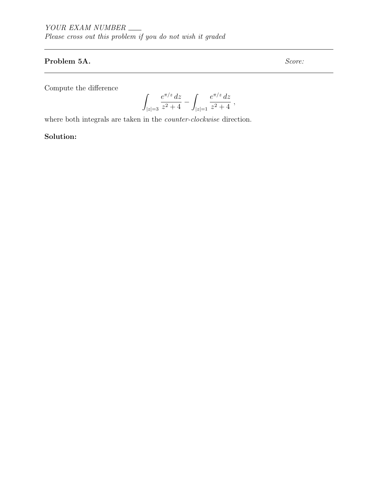# Problem 5A. Score:

Compute the difference

$$
\int_{|z|=3} \frac{e^{\pi/z} \, dz}{z^2+4} - \int_{|z|=1} \frac{e^{\pi/z} \, dz}{z^2+4} \ ,
$$

where both integrals are taken in the counter-clockwise direction.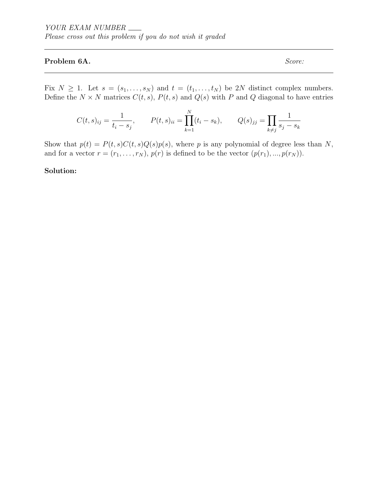### Problem 6A. Score:

Fix  $N \geq 1$ . Let  $s = (s_1, \ldots, s_N)$  and  $t = (t_1, \ldots, t_N)$  be 2N distinct complex numbers. Define the  $N \times N$  matrices  $C(t, s)$ ,  $P(t, s)$  and  $Q(s)$  with P and Q diagonal to have entries

$$
C(t,s)_{ij} = \frac{1}{t_i - s_j}, \qquad P(t,s)_{ii} = \prod_{k=1}^{N} (t_i - s_k), \qquad Q(s)_{jj} = \prod_{k \neq j} \frac{1}{s_j - s_k}
$$

Show that  $p(t) = P(t, s)C(t, s)Q(s)p(s)$ , where p is any polynomial of degree less than N, and for a vector  $r = (r_1, \ldots, r_N)$ ,  $p(r)$  is defined to be the vector  $(p(r_1), \ldots, p(r_N))$ .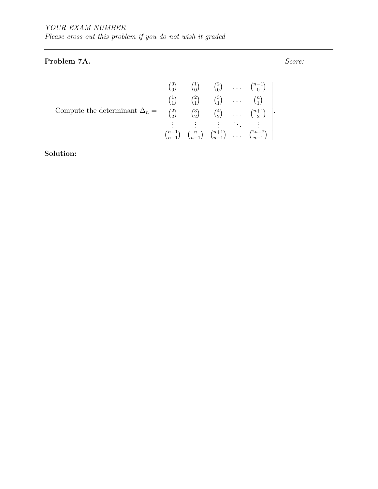# Problem 7A. Score:

| Compute the determinant $\Delta_n = \begin{pmatrix} 0 & 1 \ 0 & 0 \end{pmatrix}$ $\begin{pmatrix} 1 \ 0 \end{pmatrix}$ $\begin{pmatrix} 1 \ 0 \end{pmatrix}$ $\begin{pmatrix} 2 \ 0 \end{pmatrix}$ $\begin{pmatrix} 1 \ 1 \end{pmatrix}$ $\begin{pmatrix} 2 \ 1 \end{pmatrix}$ $\begin{pmatrix} 2 \ 1 \end{pmatrix}$ $\begin{pmatrix} 3 \ 1 \end{pmatrix}$ $\begin{pmatrix} 3 \ 1 \end{pmatrix}$ $\begin{pmatrix}$ |  |  |  |
|--------------------------------------------------------------------------------------------------------------------------------------------------------------------------------------------------------------------------------------------------------------------------------------------------------------------------------------------------------------------------------------------------------------------|--|--|--|
|                                                                                                                                                                                                                                                                                                                                                                                                                    |  |  |  |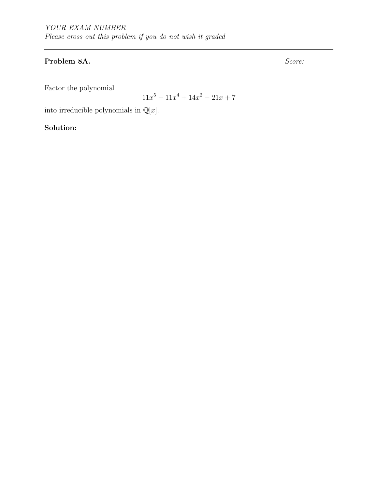# Problem 8A. Score:

Factor the polynomial

 $11x^5 - 11x^4 + 14x^2 - 21x + 7$ 

into irreducible polynomials in  $\mathbb{Q}[x]$ .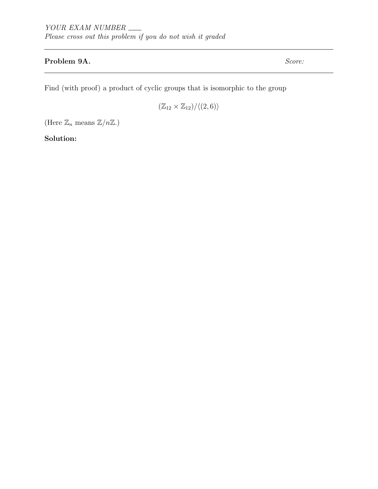# Problem 9A. Score:

Find (with proof) a product of cyclic groups that is isomorphic to the group

 $(\mathbb{Z}_{12} \times \mathbb{Z}_{12})/{\langle (2, 6) \rangle}$ 

(Here  $\mathbb{Z}_n$  means  $\mathbb{Z}/n\mathbb{Z}$ .)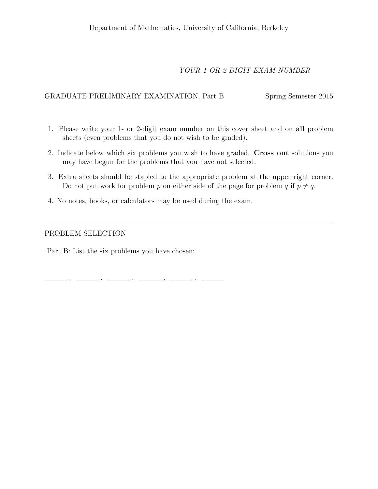# YOUR 1 OR 2 DIGIT EXAM NUMBER

# GRADUATE PRELIMINARY EXAMINATION, Part B Spring Semester 2015

- 1. Please write your 1- or 2-digit exam number on this cover sheet and on all problem sheets (even problems that you do not wish to be graded).
- 2. Indicate below which six problems you wish to have graded. Cross out solutions you may have begun for the problems that you have not selected.
- 3. Extra sheets should be stapled to the appropriate problem at the upper right corner. Do not put work for problem p on either side of the page for problem q if  $p \neq q$ .
- 4. No notes, books, or calculators may be used during the exam.

### PROBLEM SELECTION

Part B: List the six problems you have chosen:

 $, \,\, \underline{\hspace{1.5cm}}\, \,\, , \,\, \underline{\hspace{1.5cm}}\, \,\, , \,\, \underline{\hspace{1.5cm}}\, \,\, , \,\, \underline{\hspace{1.5cm}}\, \,\, , \,\, \underline{\hspace{1.5cm}}\, \,\, , \,\, \underline{\hspace{1.5cm}}\, \,\, , \,\, \underline{\hspace{1.5cm}}\, \,\, , \,\, \underline{\hspace{1.5cm}}\, \,\, , \,\, \underline{\hspace{1.5cm}}\, \,\, , \,\, \underline{\hspace{1.5cm}}\, \,\, , \,\, \underline{\hspace{1.5cm}}\, \,\,$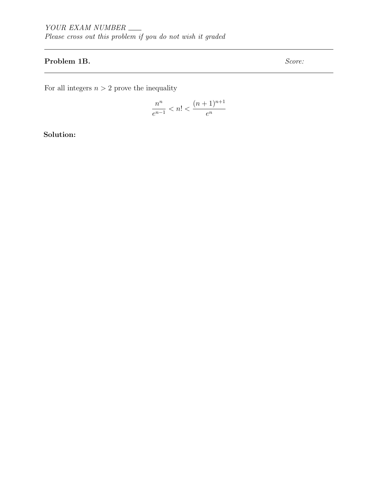# Problem 1B. Score:

For all integers  $n > 2$  prove the inequality

$$
\frac{n^n}{e^{n-1}} < n! < \frac{(n+1)^{n+1}}{e^n}
$$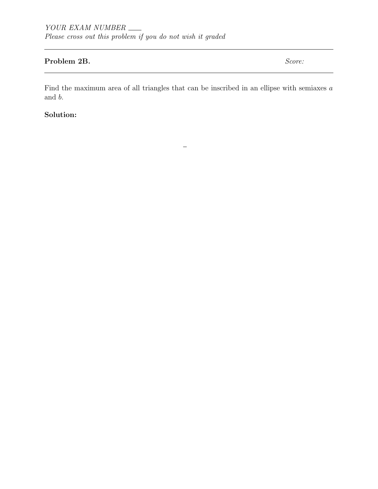## Problem 2B. Score:

Find the maximum area of all triangles that can be inscribed in an ellipse with semiaxes  $a$ and b.

—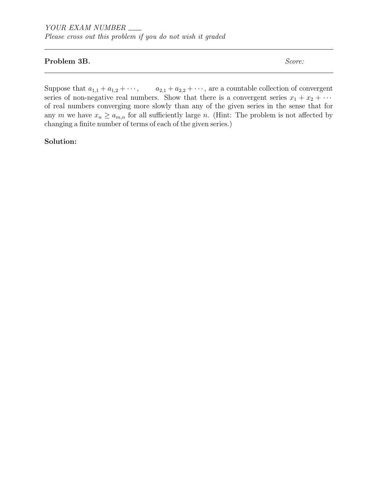### Problem 3B. Score:

Suppose that  $a_{1,1} + a_{1,2} + \cdots$ ,  $a_{2,1} + a_{2,2} + \cdots$ , are a countable collection of convergent series of non-negative real numbers. Show that there is a convergent series  $x_1 + x_2 + \cdots$ of real numbers converging more slowly than any of the given series in the sense that for any m we have  $x_n \ge a_{m,n}$  for all sufficiently large n. (Hint: The problem is not affected by changing a finite number of terms of each of the given series.)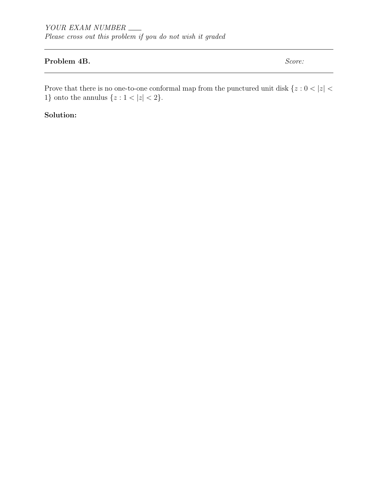# Problem 4B. Score:

Prove that there is no one-to-one conformal map from the punctured unit disk  $\{z: 0<|z|<\}$ 1} onto the annulus  $\{z : 1 < |z| < 2\}$ .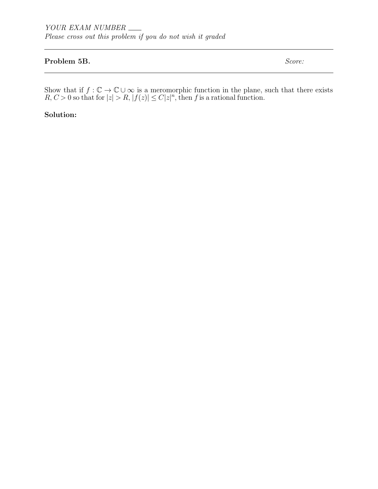### Problem 5B. Score:

Show that if  $f: \mathbb{C} \to \mathbb{C} \cup \infty$  is a meromorphic function in the plane, such that there exists  $R, C > 0$  so that for  $|z| > R, |f(z)| \leq C |z|^n$ , then f is a rational function.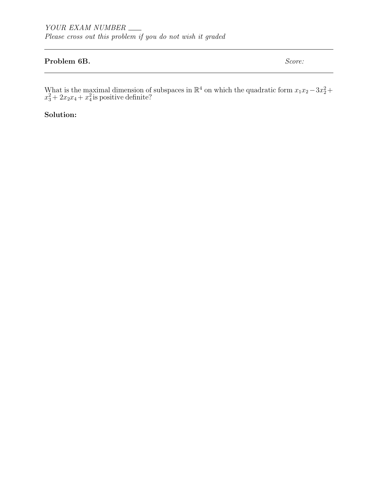### Problem 6B. Score:

What is the maximal dimension of subspaces in  $\mathbb{R}^4$  on which the quadratic form  $x_1x_2-3x_2^2+$  $x_3^2 + 2x_2x_4 + x_4^2$  is positive definite?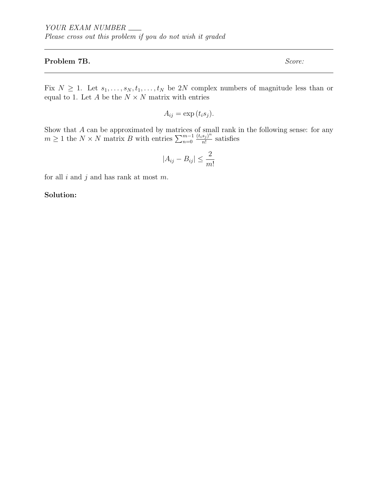### Problem 7B. Score:

Fix  $N \geq 1$ . Let  $s_1, \ldots, s_N, t_1, \ldots, t_N$  be 2N complex numbers of magnitude less than or equal to 1. Let  $A$  be the  $N \times N$  matrix with entries

$$
A_{ij} = \exp(t_i s_j).
$$

Show that A can be approximated by matrices of small rank in the following sense: for any  $m \geq 1$  the  $N \times N$  matrix B with entries  $\sum_{n=0}^{m-1}$  $(t_i s_j)^n$  $\frac{s_j}{n!}$  satisfies

$$
|A_{ij} - B_{ij}| \le \frac{2}{m!}
$$

for all  $i$  and  $j$  and has rank at most  $m$ .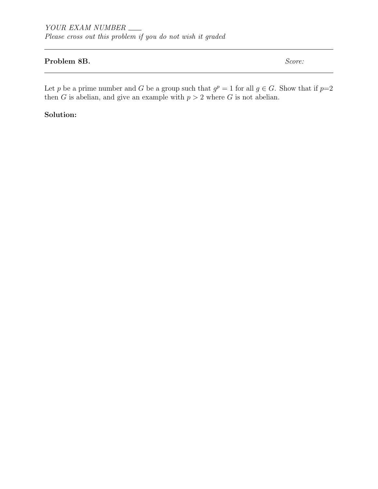### Problem 8B. Score:

Let p be a prime number and G be a group such that  $g^p = 1$  for all  $g \in G$ . Show that if  $p=2$ then G is abelian, and give an example with  $p > 2$  where G is not abelian.